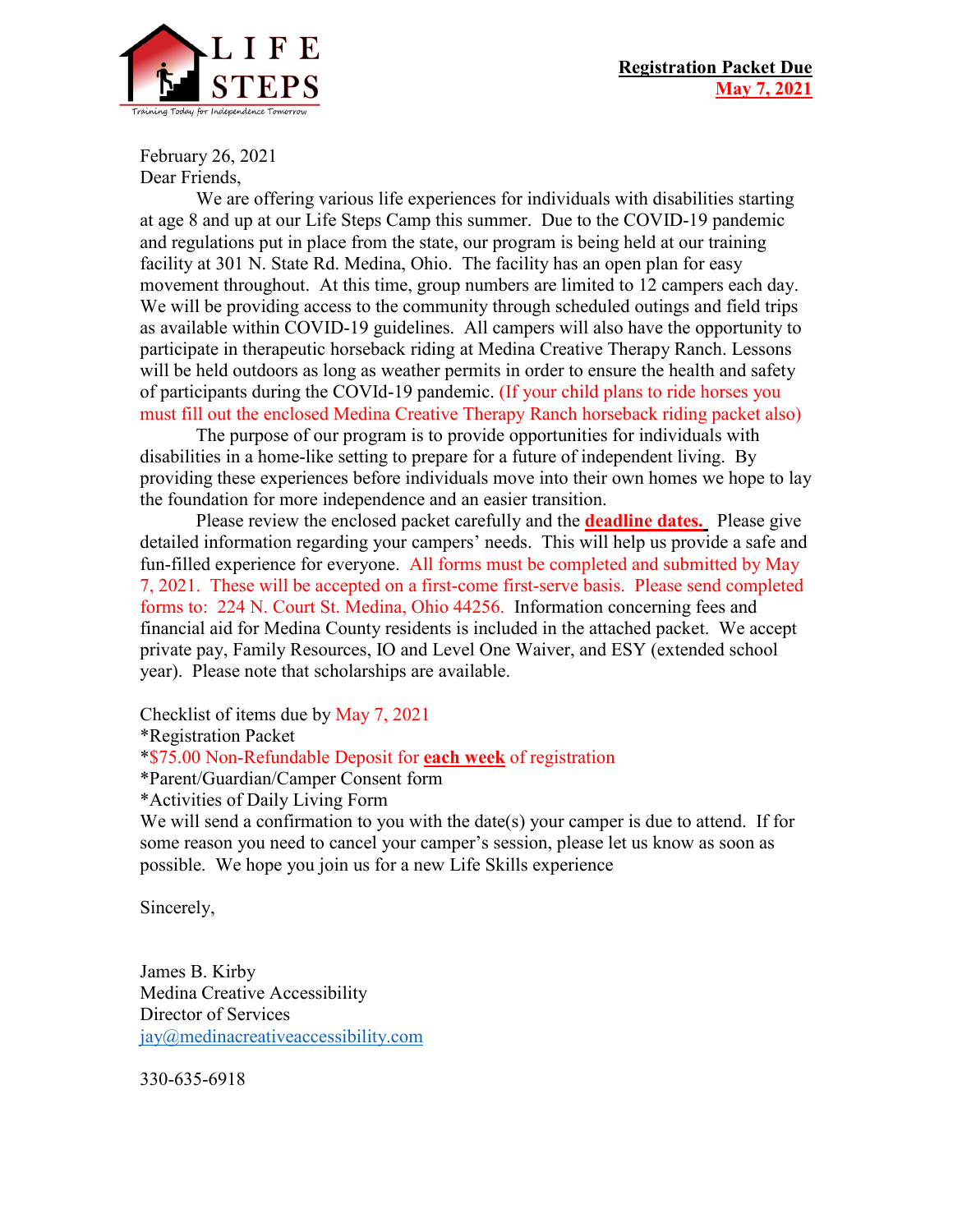

February 26, 2021 Dear Friends,

We are offering various life experiences for individuals with disabilities starting at age 8 and up at our Life Steps Camp this summer. Due to the COVID-19 pandemic and regulations put in place from the state, our program is being held at our training facility at 301 N. State Rd. Medina, Ohio. The facility has an open plan for easy movement throughout. At this time, group numbers are limited to 12 campers each day. We will be providing access to the community through scheduled outings and field trips as available within COVID-19 guidelines. All campers will also have the opportunity to participate in therapeutic horseback riding at Medina Creative Therapy Ranch. Lessons will be held outdoors as long as weather permits in order to ensure the health and safety of participants during the COVId-19 pandemic. (If your child plans to ride horses you must fill out the enclosed Medina Creative Therapy Ranch horseback riding packet also)

The purpose of our program is to provide opportunities for individuals with disabilities in a home-like setting to prepare for a future of independent living. By providing these experiences before individuals move into their own homes we hope to lay the foundation for more independence and an easier transition.

Please review the enclosed packet carefully and the **deadline dates.** Please give detailed information regarding your campers' needs. This will help us provide a safe and fun-filled experience for everyone. All forms must be completed and submitted by May 7, 2021. These will be accepted on a first-come first-serve basis. Please send completed forms to: 224 N. Court St. Medina, Ohio 44256. Information concerning fees and financial aid for Medina County residents is included in the attached packet. We accept private pay, Family Resources, IO and Level One Waiver, and ESY (extended school year). Please note that scholarships are available.

Checklist of items due by May 7, 2021

\*Registration Packet

\*\$75.00 Non-Refundable Deposit for **each week** of registration

\*Parent/Guardian/Camper Consent form

\*Activities of Daily Living Form

We will send a confirmation to you with the date(s) your camper is due to attend. If for some reason you need to cancel your camper's session, please let us know as soon as possible. We hope you join us for a new Life Skills experience

Sincerely,

James B. Kirby Medina Creative Accessibility Director of Services [jay@medinacreativeaccessibility.com](mailto:jay@medinacreativeaccessibility.com)

330-635-6918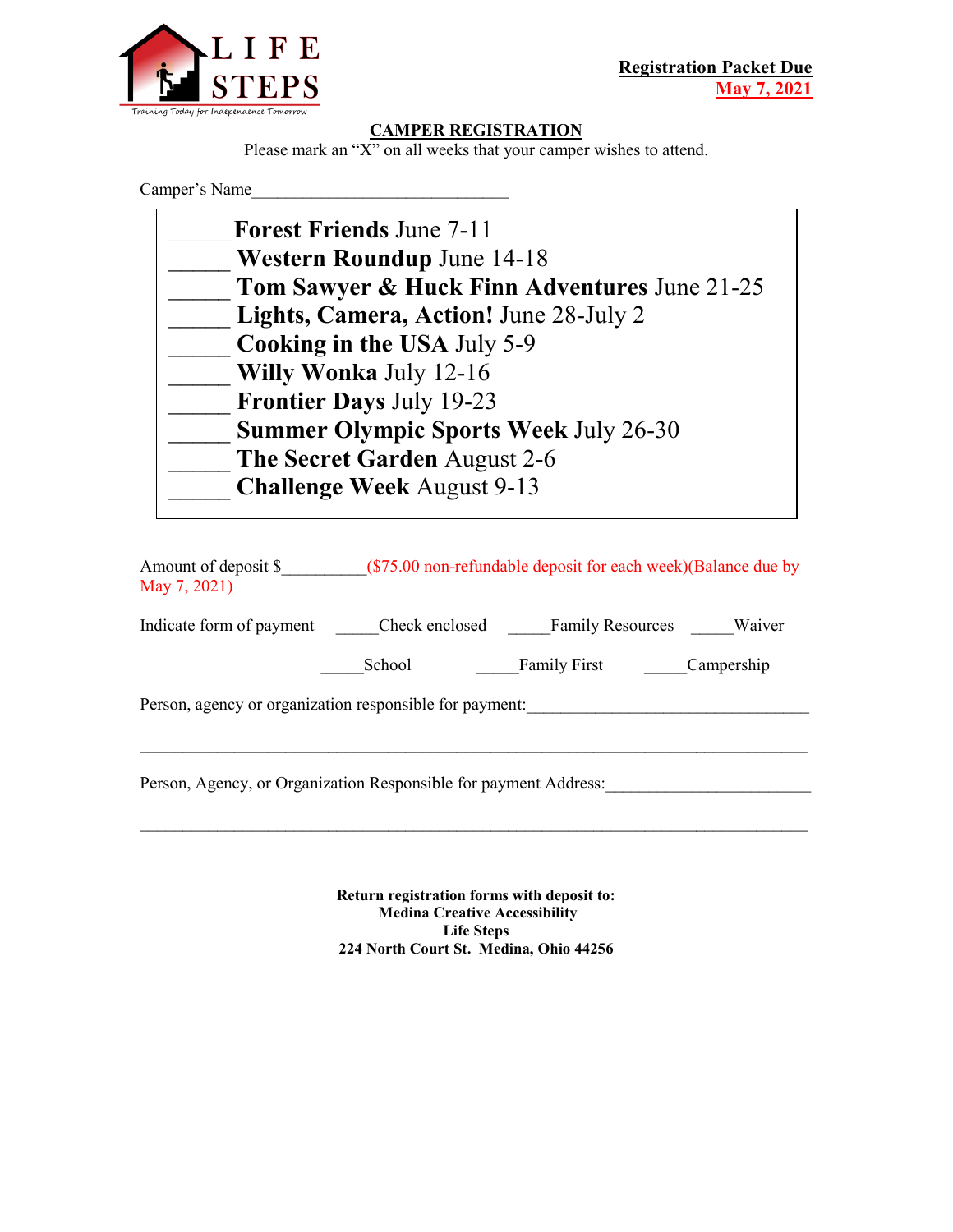

#### **CAMPER REGISTRATION**

Please mark an "X" on all weeks that your camper wishes to attend.

Camper's Name

| Tom Sawyer & Huck Finn Adventures June 21-25 |
|----------------------------------------------|
|                                              |
|                                              |
|                                              |
|                                              |
|                                              |
|                                              |
|                                              |
|                                              |

| Amount of deposit \$<br>May 7, 2021)                             |                | (\$75.00 non-refundable deposit for each week) (Balance due by |            |
|------------------------------------------------------------------|----------------|----------------------------------------------------------------|------------|
| Indicate form of payment                                         | Check enclosed | <b>Family Resources</b>                                        | Waiver     |
|                                                                  | School         | <b>Family First</b>                                            | Campership |
| Person, agency or organization responsible for payment:          |                |                                                                |            |
| Person, Agency, or Organization Responsible for payment Address: |                |                                                                |            |
|                                                                  |                |                                                                |            |

**Return registration forms with deposit to: Medina Creative Accessibility Life Steps 224 North Court St. Medina, Ohio 44256**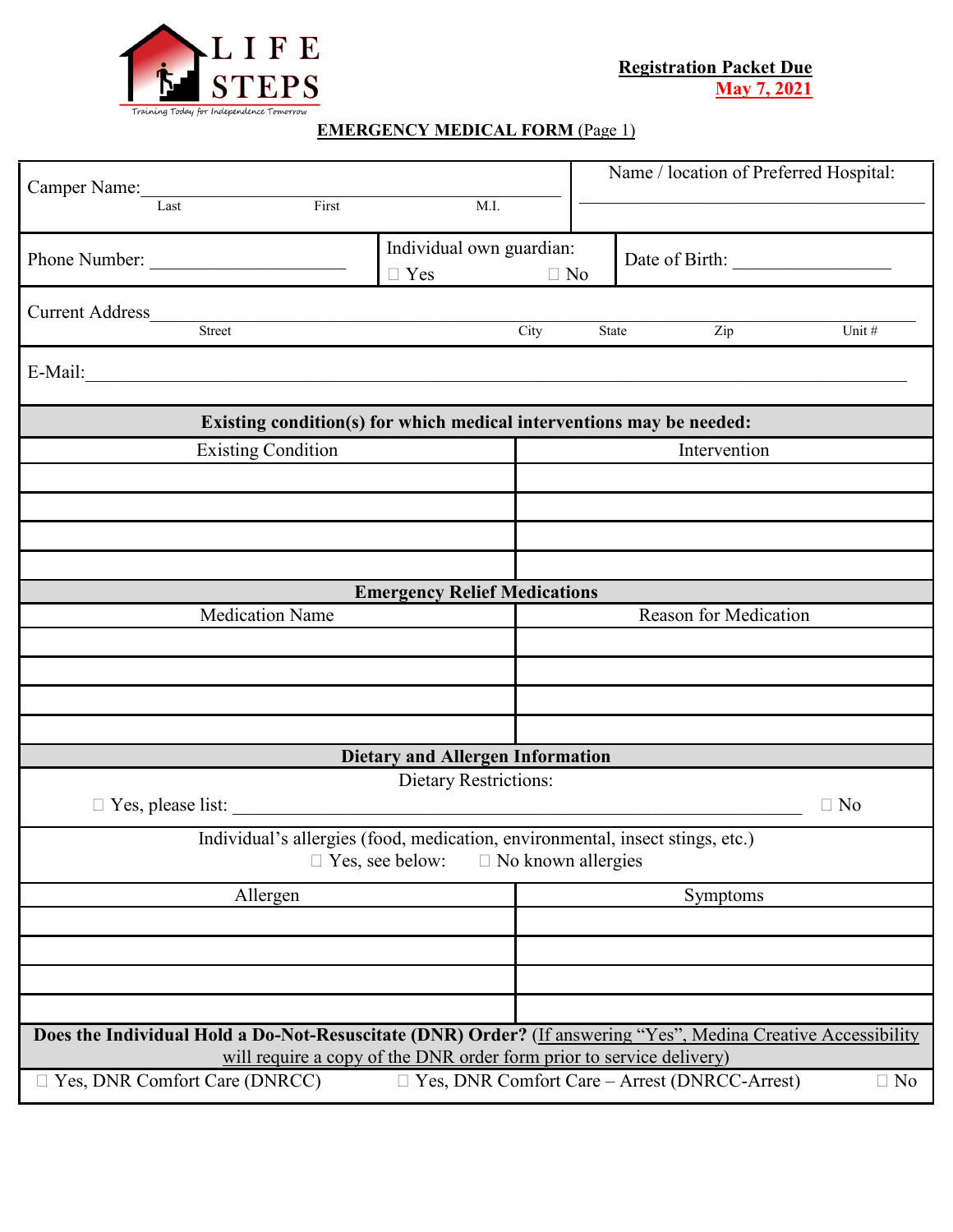

### **EMERGENCY MEDICAL FORM** (Page 1)

|                                                                                                                                                                                       |                           | Name / location of Preferred Hospital:                            |
|---------------------------------------------------------------------------------------------------------------------------------------------------------------------------------------|---------------------------|-------------------------------------------------------------------|
| Camper Name:<br>First<br>M.I.                                                                                                                                                         |                           |                                                                   |
| Individual own guardian:<br>Phone Number:<br>$\Box$ Yes                                                                                                                               | $\Box$ No                 |                                                                   |
| Current Address<br>Street                                                                                                                                                             | City                      | Zip<br>State<br>Unit#                                             |
| E-Mail:                                                                                                                                                                               |                           |                                                                   |
| Existing condition(s) for which medical interventions may be needed:                                                                                                                  |                           |                                                                   |
| <b>Existing Condition</b>                                                                                                                                                             |                           | Intervention                                                      |
|                                                                                                                                                                                       |                           |                                                                   |
|                                                                                                                                                                                       |                           |                                                                   |
|                                                                                                                                                                                       |                           |                                                                   |
| <b>Emergency Relief Medications</b>                                                                                                                                                   |                           |                                                                   |
| <b>Medication Name</b><br><b>Reason for Medication</b>                                                                                                                                |                           |                                                                   |
|                                                                                                                                                                                       |                           |                                                                   |
|                                                                                                                                                                                       |                           |                                                                   |
|                                                                                                                                                                                       |                           |                                                                   |
| <b>Dietary and Allergen Information</b>                                                                                                                                               |                           |                                                                   |
| Dietary Restrictions:                                                                                                                                                                 |                           | $\Box$ No                                                         |
| Individual's allergies (food, medication, environmental, insect stings, etc.)<br>$\Box$ Yes, see below:                                                                               | $\Box$ No known allergies |                                                                   |
| Allergen                                                                                                                                                                              |                           | Symptoms                                                          |
|                                                                                                                                                                                       |                           |                                                                   |
|                                                                                                                                                                                       |                           |                                                                   |
|                                                                                                                                                                                       |                           |                                                                   |
| Does the Individual Hold a Do-Not-Resuscitate (DNR) Order? (If answering "Yes", Medina Creative Accessibility<br>will require a copy of the DNR order form prior to service delivery) |                           |                                                                   |
| $\Box$ Yes, DNR Comfort Care (DNRCC)                                                                                                                                                  |                           | $\Box$ Yes, DNR Comfort Care – Arrest (DNRCC-Arrest)<br>$\Box$ No |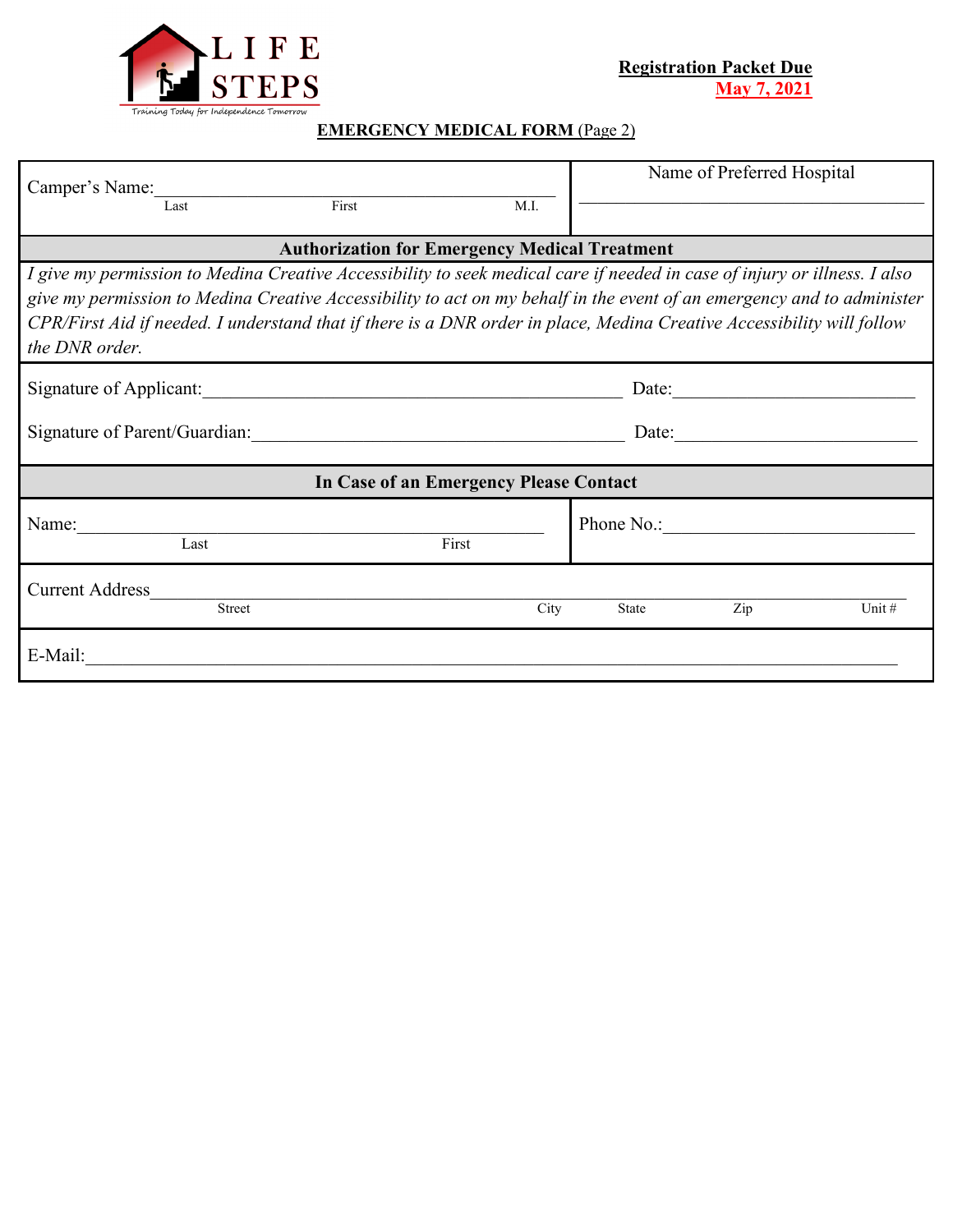

# **EMERGENCY MEDICAL FORM** (Page 2)

| Camper's Name:<br>First<br>M.I.<br>Last                                                                                                                                                                                                                                                                                                                                                         | Name of Preferred Hospital                               |
|-------------------------------------------------------------------------------------------------------------------------------------------------------------------------------------------------------------------------------------------------------------------------------------------------------------------------------------------------------------------------------------------------|----------------------------------------------------------|
| <b>Authorization for Emergency Medical Treatment</b>                                                                                                                                                                                                                                                                                                                                            |                                                          |
| I give my permission to Medina Creative Accessibility to seek medical care if needed in case of injury or illness. I also<br>give my permission to Medina Creative Accessibility to act on my behalf in the event of an emergency and to administer<br>CPR/First Aid if needed. I understand that if there is a DNR order in place, Medina Creative Accessibility will follow<br>the DNR order. |                                                          |
| Signature of Applicant:                                                                                                                                                                                                                                                                                                                                                                         | Date: $\frac{1}{\sqrt{1-\frac{1}{2}} \cdot \frac{1}{2}}$ |
|                                                                                                                                                                                                                                                                                                                                                                                                 | Date: $\qquad \qquad$                                    |
| In Case of an Emergency Please Contact                                                                                                                                                                                                                                                                                                                                                          |                                                          |
| Name:<br>First<br>Last                                                                                                                                                                                                                                                                                                                                                                          | Phone No.:                                               |
| <b>Current Address</b><br>City<br><b>Street</b>                                                                                                                                                                                                                                                                                                                                                 | Unit #<br>Zip<br>State                                   |
| E-Mail:                                                                                                                                                                                                                                                                                                                                                                                         |                                                          |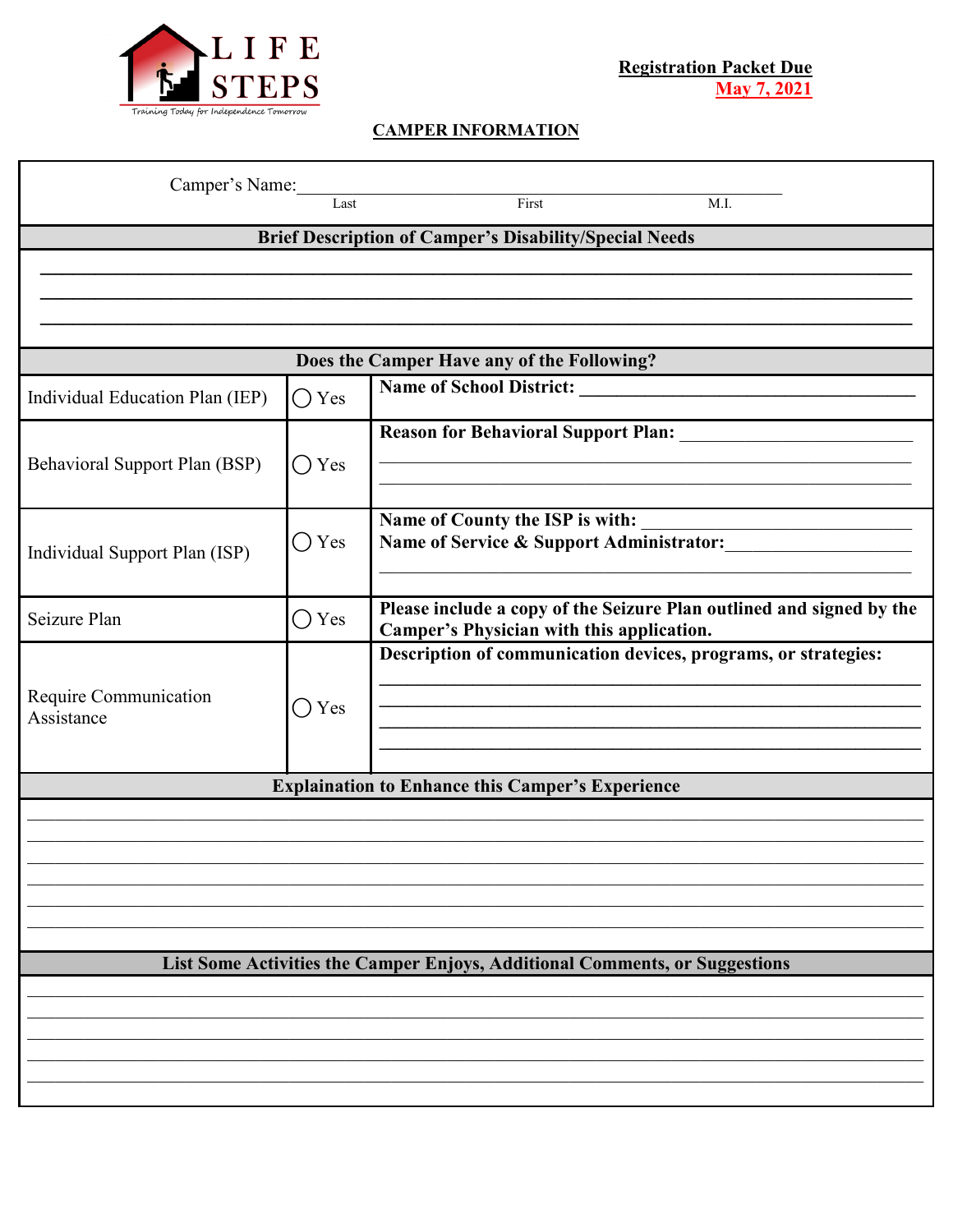

## **CAMPER INFORMATION**

| Camper's Name:                  | Last           | First<br>M.I.                                                                                                     |
|---------------------------------|----------------|-------------------------------------------------------------------------------------------------------------------|
|                                 |                | <b>Brief Description of Camper's Disability/Special Needs</b>                                                     |
|                                 |                |                                                                                                                   |
|                                 |                |                                                                                                                   |
|                                 |                |                                                                                                                   |
|                                 |                | Does the Camper Have any of the Following?                                                                        |
| Individual Education Plan (IEP) | $\bigcirc$ Yes |                                                                                                                   |
|                                 |                |                                                                                                                   |
| Behavioral Support Plan (BSP)   | $\bigcirc$ Yes |                                                                                                                   |
|                                 |                | Name of County the ISP is with:                                                                                   |
| Individual Support Plan (ISP)   | $\bigcirc$ Yes | Name of Service & Support Administrator:                                                                          |
|                                 |                |                                                                                                                   |
| Seizure Plan                    | $\bigcirc$ Yes | Please include a copy of the Seizure Plan outlined and signed by the<br>Camper's Physician with this application. |
|                                 |                | Description of communication devices, programs, or strategies:                                                    |
| Require Communication           | Yes<br>$(\ )$  |                                                                                                                   |
| Assistance                      |                |                                                                                                                   |
|                                 |                |                                                                                                                   |
|                                 |                | <b>Explaination to Enhance this Camper's Experience</b>                                                           |
|                                 |                |                                                                                                                   |
|                                 |                |                                                                                                                   |
|                                 |                |                                                                                                                   |
|                                 |                |                                                                                                                   |
|                                 |                | List Some Activities the Camper Enjoys, Additional Comments, or Suggestions                                       |
|                                 |                |                                                                                                                   |
|                                 |                |                                                                                                                   |
|                                 |                |                                                                                                                   |
|                                 |                |                                                                                                                   |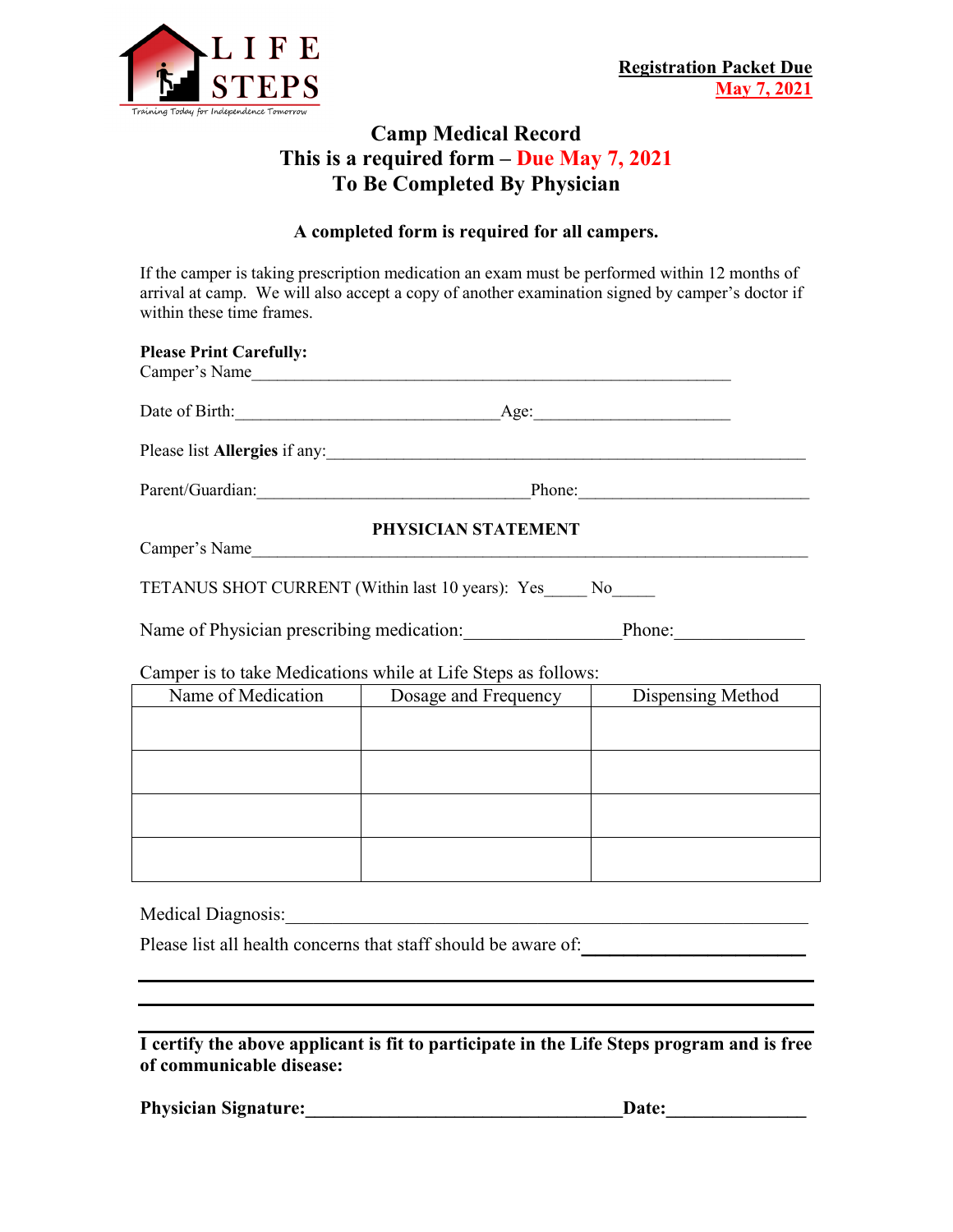

## **Camp Medical Record This is a required form – Due May 7, 2021 To Be Completed By Physician**

#### **A completed form is required for all campers.**

If the camper is taking prescription medication an exam must be performed within 12 months of arrival at camp. We will also accept a copy of another examination signed by camper's doctor if within these time frames.

| <b>Please Print Carefully:</b> | Camper's Name                                                 |  |
|--------------------------------|---------------------------------------------------------------|--|
|                                | Date of Birth: <u>Age:</u> Age:                               |  |
|                                | Please list Allergies if any:                                 |  |
|                                | Parent/Guardian: Phone: Phone:                                |  |
|                                | PHYSICIAN STATEMENT                                           |  |
|                                | Camper's Name                                                 |  |
|                                | TETANUS SHOT CURRENT (Within last 10 years): Yes_____ No____  |  |
|                                | Name of Physician prescribing medication: Phone: Phone:       |  |
|                                | Camper is to take Medications while at Life Steps as follows: |  |
|                                | Name of Medication   Dosage and Frequency   Dispensing Method |  |
|                                |                                                               |  |
|                                |                                                               |  |
|                                |                                                               |  |
|                                |                                                               |  |

Medical Diagnosis:\_\_\_\_\_\_\_\_\_\_\_\_\_\_\_\_\_\_\_\_\_\_\_\_\_\_\_\_\_\_\_\_\_\_\_\_\_\_\_\_\_\_\_\_\_\_\_\_\_\_\_\_\_\_\_\_

Please list all health concerns that staff should be aware of: **with all health** concerns that staff should be aware of:

**I certify the above applicant is fit to participate in the Life Steps program and is free of communicable disease:**

Physician Signature: <u>Date:</u>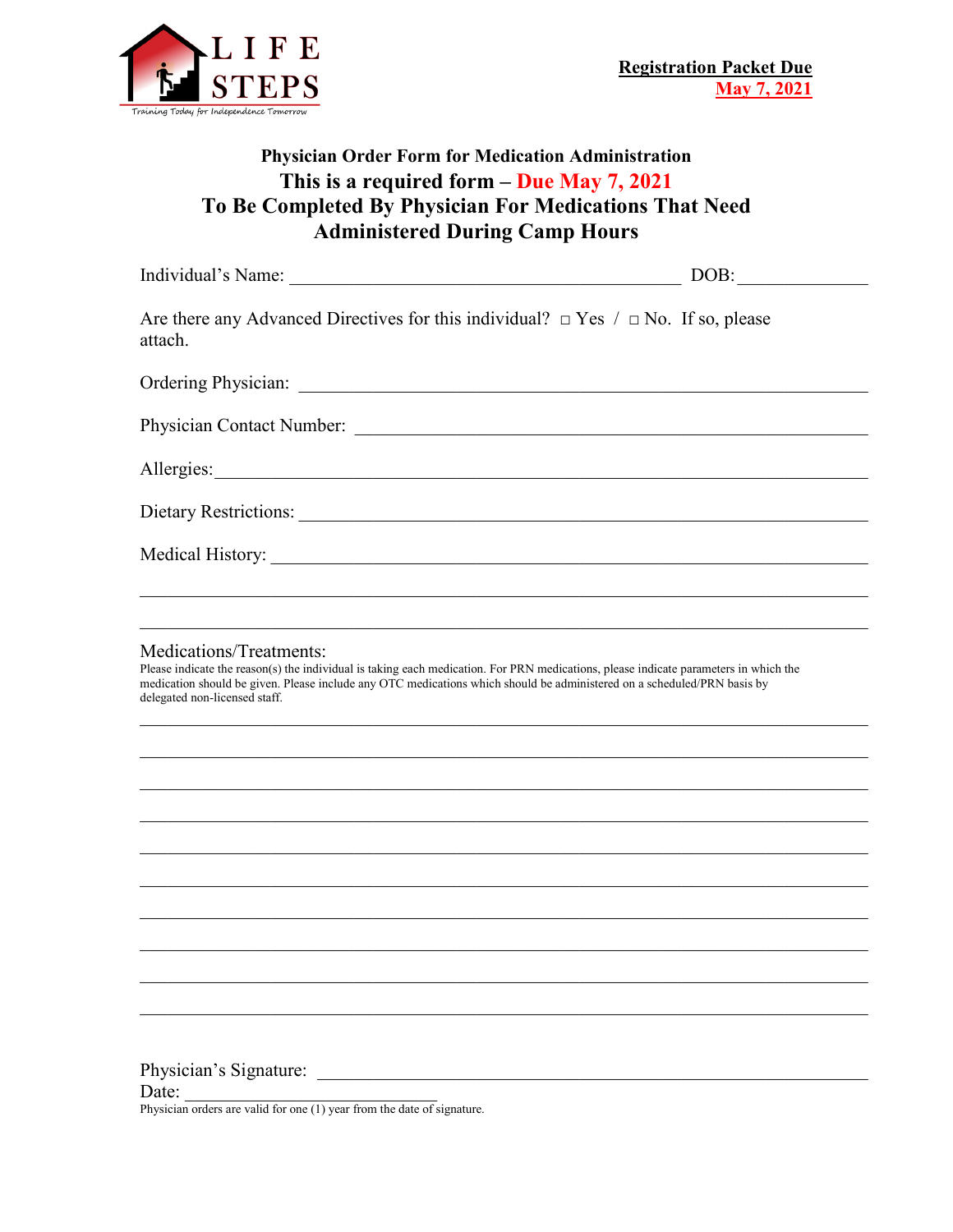

## **Physician Order Form for Medication Administration This is a required form – Due May 7, 2021 To Be Completed By Physician For Medications That Need Administered During Camp Hours**

|                                                                                                                                                                                                                                                                                                                             | DOB: $\qquad \qquad$ |
|-----------------------------------------------------------------------------------------------------------------------------------------------------------------------------------------------------------------------------------------------------------------------------------------------------------------------------|----------------------|
| Are there any Advanced Directives for this individual? $\Box$ Yes / $\Box$ No. If so, please<br>attach.                                                                                                                                                                                                                     |                      |
|                                                                                                                                                                                                                                                                                                                             |                      |
|                                                                                                                                                                                                                                                                                                                             |                      |
|                                                                                                                                                                                                                                                                                                                             |                      |
| Dietary Restrictions:                                                                                                                                                                                                                                                                                                       |                      |
|                                                                                                                                                                                                                                                                                                                             |                      |
| Medications/Treatments:<br>Please indicate the reason(s) the individual is taking each medication. For PRN medications, please indicate parameters in which the<br>medication should be given. Please include any OTC medications which should be administered on a scheduled/PRN basis by<br>delegated non-licensed staff. |                      |
|                                                                                                                                                                                                                                                                                                                             |                      |
|                                                                                                                                                                                                                                                                                                                             |                      |
|                                                                                                                                                                                                                                                                                                                             |                      |
|                                                                                                                                                                                                                                                                                                                             |                      |
|                                                                                                                                                                                                                                                                                                                             |                      |
|                                                                                                                                                                                                                                                                                                                             |                      |

\_\_\_\_\_\_\_\_\_\_\_\_\_\_\_\_\_\_\_\_\_\_\_\_\_\_\_\_\_\_\_\_\_\_\_\_\_\_\_\_\_\_\_\_\_\_\_\_\_\_\_\_\_\_\_\_\_\_\_\_\_\_\_\_\_\_\_\_\_\_\_\_\_\_\_\_\_\_

\_\_\_\_\_\_\_\_\_\_\_\_\_\_\_\_\_\_\_\_\_\_\_\_\_\_\_\_\_\_\_\_\_\_\_\_\_\_\_\_\_\_\_\_\_\_\_\_\_\_\_\_\_\_\_\_\_\_\_\_\_\_\_\_\_\_\_\_\_\_\_\_\_\_\_\_\_\_

Physician's Signature:

Physician orders are valid for one (1) year from the date of signature.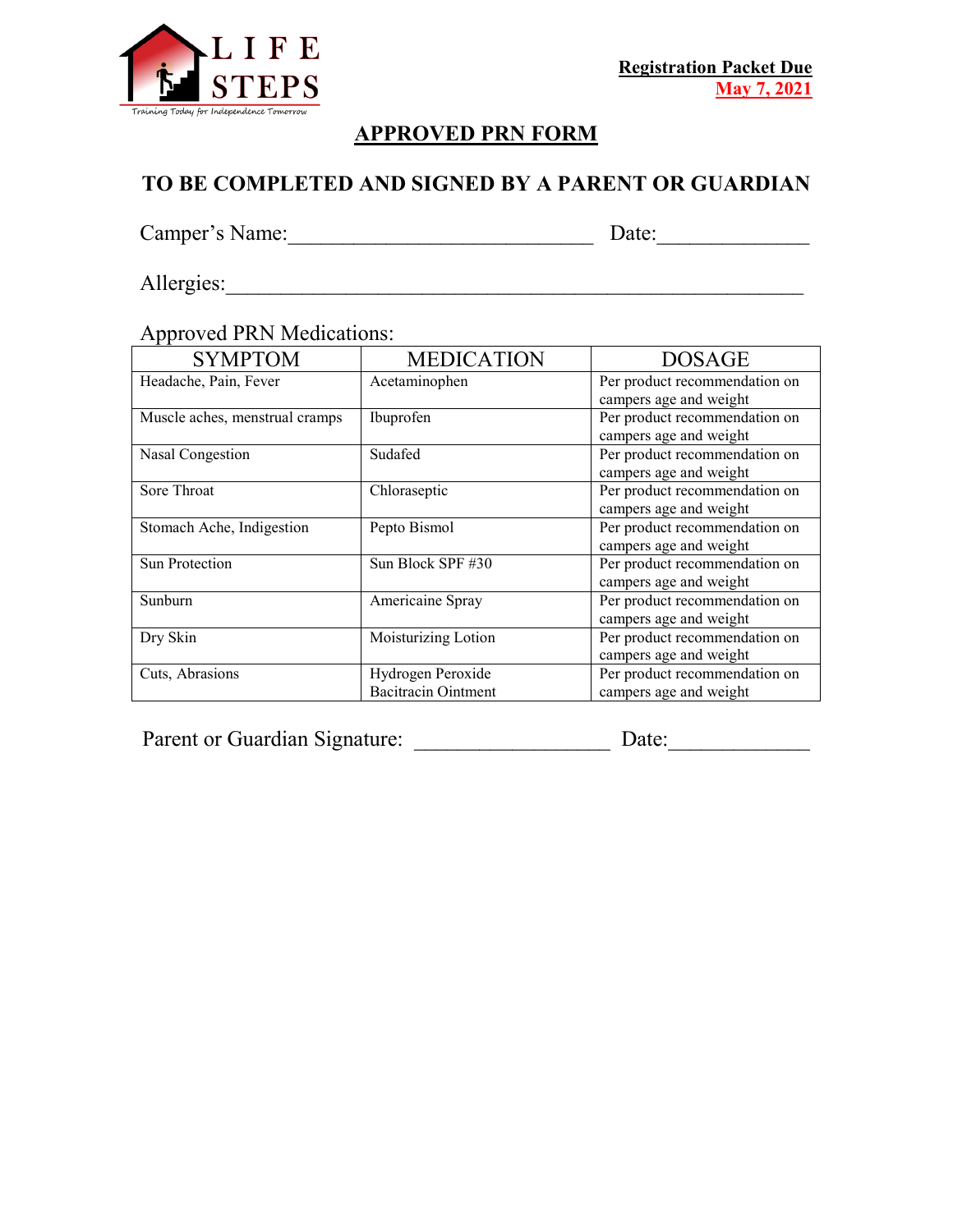

# **APPROVED PRN FORM**

# **TO BE COMPLETED AND SIGNED BY A PARENT OR GUARDIAN**

Camper's Name:\_\_\_\_\_\_\_\_\_\_\_\_\_\_\_\_\_\_\_\_\_\_\_\_\_\_\_\_ Date:\_\_\_\_\_\_\_\_\_\_\_\_\_\_

Allergies:\_\_\_\_\_\_\_\_\_\_\_\_\_\_\_\_\_\_\_\_\_\_\_\_\_\_\_\_\_\_\_\_\_\_\_\_\_\_\_\_\_\_\_\_\_\_\_\_\_\_\_\_\_

## Approved PRN Medications:

| <b>SYMPTOM</b>                 | <b>MEDICATION</b>          | <b>DOSAGE</b>                 |
|--------------------------------|----------------------------|-------------------------------|
| Headache, Pain, Fever          | Acetaminophen              | Per product recommendation on |
|                                |                            | campers age and weight        |
| Muscle aches, menstrual cramps | Ibuprofen                  | Per product recommendation on |
|                                |                            | campers age and weight        |
| Nasal Congestion               | Sudafed                    | Per product recommendation on |
|                                |                            | campers age and weight        |
| Sore Throat                    | Chloraseptic               | Per product recommendation on |
|                                |                            | campers age and weight        |
| Stomach Ache, Indigestion      | Pepto Bismol               | Per product recommendation on |
|                                |                            | campers age and weight        |
| Sun Protection                 | Sun Block SPF #30          | Per product recommendation on |
|                                |                            | campers age and weight        |
| <b>Sunburn</b>                 | Americaine Spray           | Per product recommendation on |
|                                |                            | campers age and weight        |
| Dry Skin                       | Moisturizing Lotion        | Per product recommendation on |
|                                |                            | campers age and weight        |
| Cuts, Abrasions                | Hydrogen Peroxide          | Per product recommendation on |
|                                | <b>Bacitracin Ointment</b> | campers age and weight        |

Parent or Guardian Signature: \_\_\_\_\_\_\_\_\_\_\_\_\_\_\_\_\_\_ Date:\_\_\_\_\_\_\_\_\_\_\_\_\_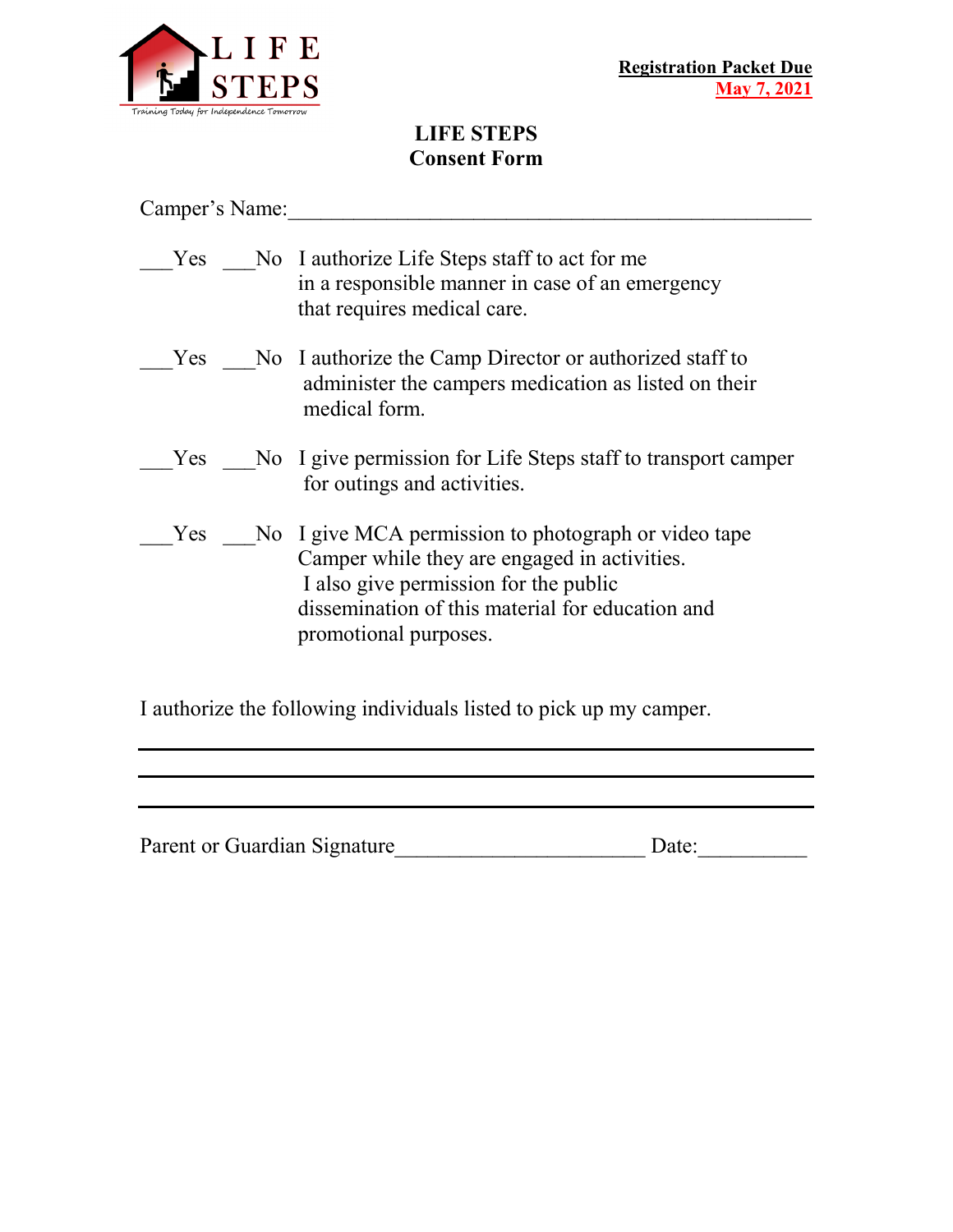

# **LIFE STEPS Consent Form**

Camper's Name:\_\_\_\_\_\_\_\_\_\_\_\_\_\_\_\_\_\_\_\_\_\_\_\_\_\_\_\_\_\_\_\_\_\_\_\_\_\_\_\_\_\_\_\_\_\_\_\_

| <b>Yes</b> | No I authorize Life Steps staff to act for me<br>in a responsible manner in case of an emergency<br>that requires medical care.                                                                                            |
|------------|----------------------------------------------------------------------------------------------------------------------------------------------------------------------------------------------------------------------------|
| <b>Yes</b> | No I authorize the Camp Director or authorized staff to<br>administer the campers medication as listed on their<br>medical form.                                                                                           |
| Yes        | No I give permission for Life Steps staff to transport camper<br>for outings and activities.                                                                                                                               |
| Yes        | No I give MCA permission to photograph or video tape<br>Camper while they are engaged in activities.<br>I also give permission for the public<br>dissemination of this material for education and<br>promotional purposes. |

I authorize the following individuals listed to pick up my camper.

Parent or Guardian Signature\_\_\_\_\_\_\_\_\_\_\_\_\_\_\_\_\_\_\_\_\_\_\_ Date:\_\_\_\_\_\_\_\_\_\_

<u> 1989 - Johann Barn, amerikan bernama di sebagai bernama di sebagai bernama di sebagai bernama di sebagai ber</u> the control of the control of the control of the control of the control of the control of the control of the control of the control of the control of the control of the control of the control of the control of the control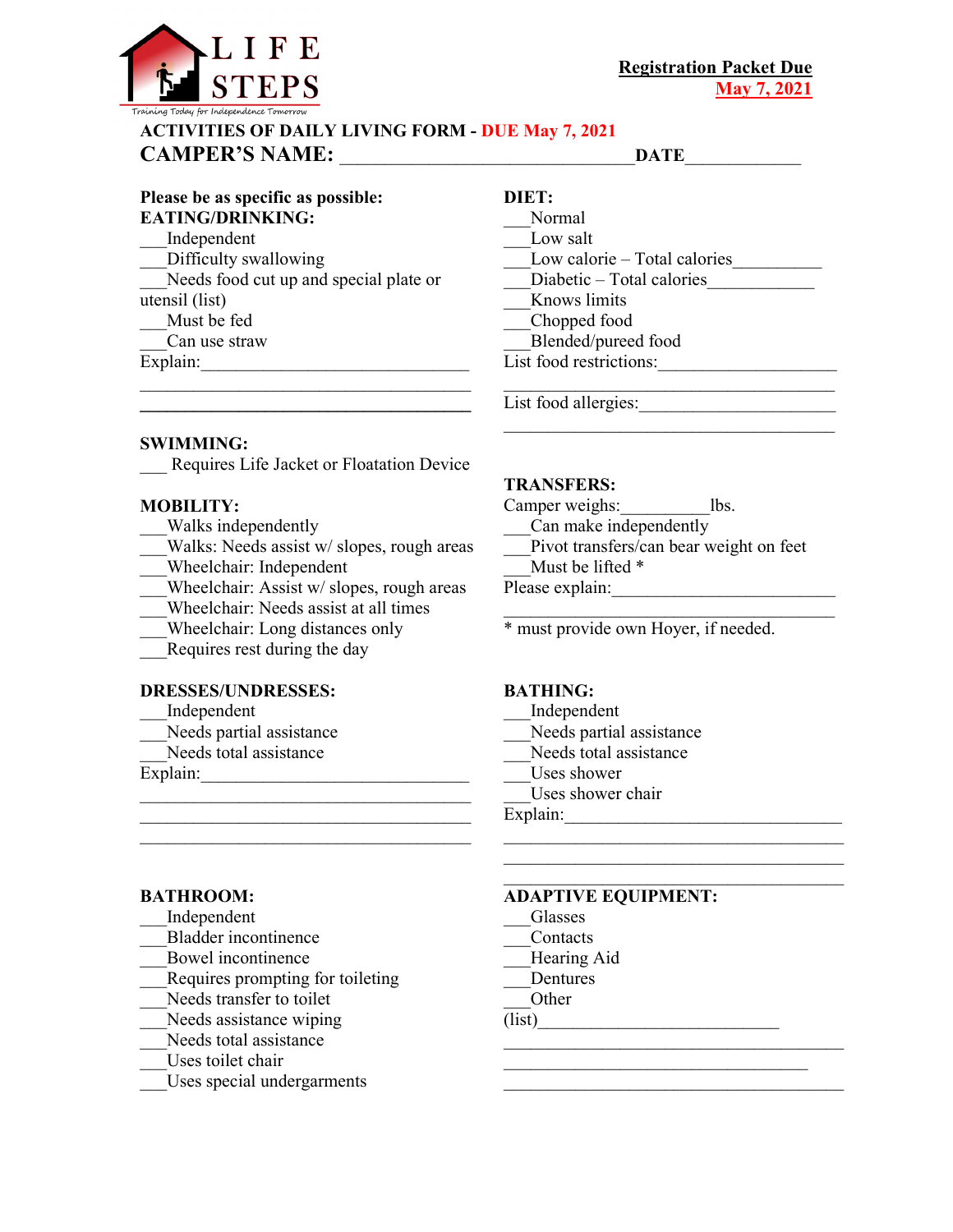

#### **ACTIVITIES OF DAILY LIVING FORM - DUE May 7, 2021 CAMPER'S NAME:** \_\_\_\_\_\_\_\_\_\_\_\_\_\_\_\_\_\_\_\_\_\_\_\_\_\_\_\_\_\_\_\_\_**DATE**\_\_\_\_\_\_\_\_\_\_\_\_\_

#### **Please be as specific as possible: EATING/DRINKING:**  \_\_\_Independent Difficulty swallowing Needs food cut up and special plate or utensil (list) \_\_\_Must be fed \_\_\_Can use straw

Explain:

## **DIET:**

\_\_\_Normal Low salt Low calorie – Total calories Diabetic – Total calories \_\_\_Knows limits \_\_\_Chopped food \_\_\_Blended/pureed food List food restrictions:

List food allergies: \_\_\_\_\_\_\_\_\_\_\_\_\_\_\_\_\_\_\_\_\_\_\_\_\_\_\_\_\_\_\_\_\_\_\_\_\_

**SWIMMING:** 

Requires Life Jacket or Floatation Device

\_\_\_\_\_\_\_\_\_\_\_\_\_\_\_\_\_\_\_\_\_\_\_\_\_\_\_\_\_\_\_\_\_\_\_\_\_ **\_\_\_\_\_\_\_\_\_\_\_\_\_\_\_\_\_\_\_\_\_\_\_\_\_\_\_\_\_\_\_\_\_\_\_\_\_** 

#### **MOBILITY:**

- \_\_\_Walks independently
- Walks: Needs assist w/ slopes, rough areas
- \_\_\_Wheelchair: Independent
- Wheelchair: Assist w/ slopes, rough areas

\_\_\_\_\_\_\_\_\_\_\_\_\_\_\_\_\_\_\_\_\_\_\_\_\_\_\_\_\_\_\_\_\_\_\_\_\_

- \_\_\_Wheelchair: Needs assist at all times
- \_\_\_Wheelchair: Long distances only
- Requires rest during the day

#### **DRESSES/UNDRESSES:**

- \_\_\_Independent
- Needs partial assistance
- Needs total assistance

Explain:

#### **BATHROOM:**

- \_\_\_Independent
- \_\_\_Bladder incontinence
- \_\_\_Bowel incontinence
- \_\_\_Requires prompting for toileting
- Needs transfer to toilet
- Needs assistance wiping
- Needs total assistance
- Uses toilet chair
- \_\_\_Uses special undergarments

#### **TRANSFERS:**

Camper weighs: lbs. Can make independently

Pivot transfers/can bear weight on feet

\_\_\_\_\_\_\_\_\_\_\_\_\_\_\_\_\_\_\_\_\_\_\_\_\_\_\_\_\_\_\_\_\_\_\_\_\_

\_\_\_\_\_\_\_\_\_\_\_\_\_\_\_\_\_\_\_\_\_\_\_\_\_\_\_\_\_\_\_\_\_\_\_\_\_\_ \_\_\_\_\_\_\_\_\_\_\_\_\_\_\_\_\_\_\_\_\_\_\_\_\_\_\_\_\_\_\_\_\_\_\_\_\_\_

 $\mathcal{L}_\text{max}$  , where  $\mathcal{L}_\text{max}$  and  $\mathcal{L}_\text{max}$  and  $\mathcal{L}_\text{max}$ \_\_\_\_\_\_\_\_\_\_\_\_\_\_\_\_\_\_\_\_\_\_\_\_\_\_\_\_\_\_\_\_\_\_ \_\_\_\_\_\_\_\_\_\_\_\_\_\_\_\_\_\_\_\_\_\_\_\_\_\_\_\_\_\_\_\_\_\_\_\_\_\_

- Must be lifted  $*$
- Please explain:

\* must provide own Hoyer, if needed.

#### **BATHING:**

- \_\_\_Independent
- Needs partial assistance
- Needs total assistance
- Uses shower
- Uses shower chair

Explain:  $\qquad \qquad \qquad$ 

#### **ADAPTIVE EQUIPMENT:**

- \_\_\_Glasses
- \_\_\_Contacts
- \_\_\_Hearing Aid
- \_\_\_Dentures

\_\_\_Other

 $(list)$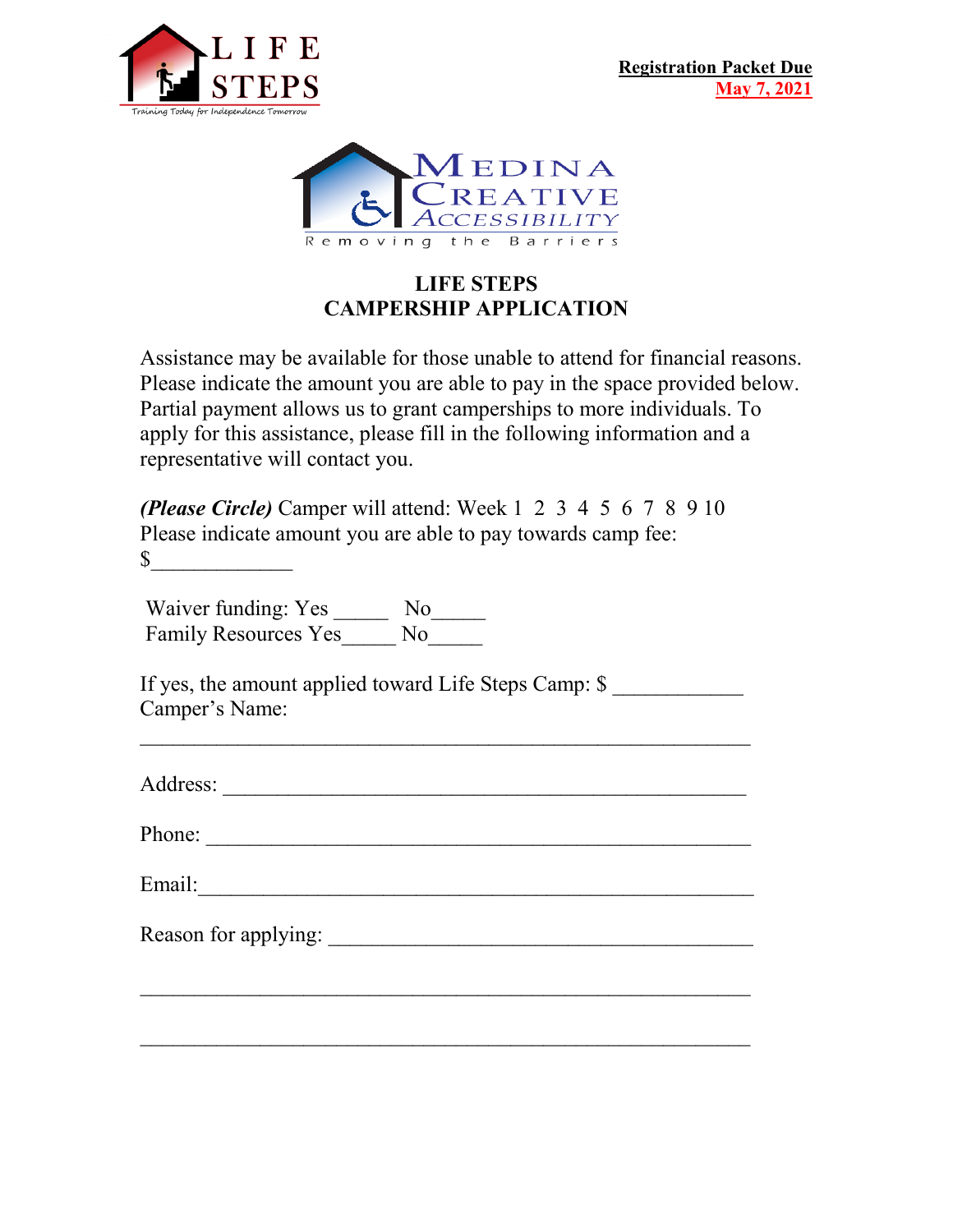



# **LIFE STEPS CAMPERSHIP APPLICATION**

Assistance may be available for those unable to attend for financial reasons. Please indicate the amount you are able to pay in the space provided below. Partial payment allows us to grant camperships to more individuals. To apply for this assistance, please fill in the following information and a representative will contact you.

| <b><i>(Please Circle)</i></b> Camper will attend: Week 1 2 3 4 5 6 7 8 9 10 |
|-----------------------------------------------------------------------------|
| Please indicate amount you are able to pay towards camp fee:                |
| \$                                                                          |

Waiver funding: Yes \_\_\_\_\_\_ No\_\_\_\_\_\_ Family Resources Yes\_\_\_\_\_ No\_\_\_\_\_

If yes, the amount applied toward Life Steps Camp: \$ Camper's Name:

Address: \_\_\_\_\_\_\_\_\_\_\_\_\_\_\_\_\_\_\_\_\_\_\_\_\_\_\_\_\_\_\_\_\_\_\_\_\_\_\_\_\_\_\_\_\_\_\_\_

 $\mathcal{L}_\text{G}$  , and the contribution of the contribution of the contribution of the contribution of the contribution of the contribution of the contribution of the contribution of the contribution of the contribution of t

 $\mathcal{L}_\text{G} = \{ \mathcal{L}_\text{G} \mid \mathcal{L}_\text{G} \text{ and } \mathcal{L}_\text{G} \text{ and } \mathcal{L}_\text{G} \text{ and } \mathcal{L}_\text{G} \text{ and } \mathcal{L}_\text{G} \text{ and } \mathcal{L}_\text{G} \text{ and } \mathcal{L}_\text{G} \text{ and } \mathcal{L}_\text{G} \text{ and } \mathcal{L}_\text{G} \text{ and } \mathcal{L}_\text{G} \text{ and } \mathcal{L}_\text{G} \text{ and } \mathcal{L}_\text{G} \text{ and } \$ 

 $\mathcal{L}_\text{max}$  , and the contract of the contract of the contract of the contract of the contract of the contract of the contract of the contract of the contract of the contract of the contract of the contract of the contr

Phone:

Email:\_\_\_\_\_\_\_\_\_\_\_\_\_\_\_\_\_\_\_\_\_\_\_\_\_\_\_\_\_\_\_\_\_\_\_\_\_\_\_\_\_\_\_\_\_\_\_\_\_\_\_

Reason for applying: \_\_\_\_\_\_\_\_\_\_\_\_\_\_\_\_\_\_\_\_\_\_\_\_\_\_\_\_\_\_\_\_\_\_\_\_\_\_\_